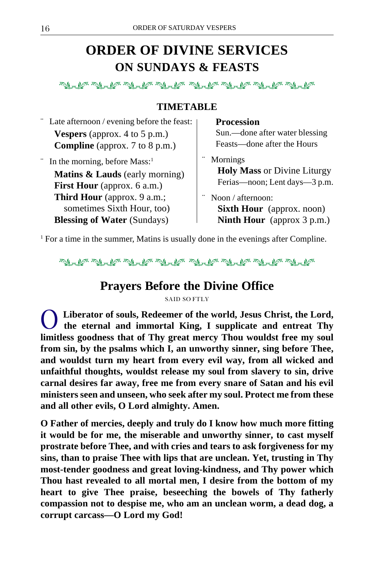# **ORDER OF DIVINE SERVICES ON SUNDAYS & FEASTS**

האביר מייטר מוציע האריינד האריינד האומר מוציע האריינד האריינד האריינד האריינד האריינד האריינד האריינד האריינד

### **TIMETABLE**

¨ Late afternoon / evening before the feast: **Vespers** (approx. 4 to 5 p.m.) **Compline** (approx. 7 to 8 p.m.)

 $\dddot{\text{m}}$  In the morning, before Mass:<sup>1</sup> **Matins & Lauds** (early morning) **First Hour** (approx. 6 a.m.) **Third Hour** (approx. 9 a.m.; sometimes Sixth Hour, too) **Blessing of Water** (Sundays)

**Procession** Sun.—done after water blessing Feasts—done after the Hours

¨ Mornings **Holy Mass** or Divine Liturgy Ferias—noon; Lent days—3 p.m.

¨ Noon / afternoon: **Sixth Hour** (approx. noon) **Ninth Hour** (approx 3 p.m.)

<sup>1</sup> For a time in the summer, Matins is usually done in the evenings after Compline.

---- ----

## **Prayers Before the Divine Office**

SAID SO FTLY

 **Liberator of souls, Redeemer of the world, Jesus Christ, the Lord, the eternal and immortal King, I supplicate and entreat Thy limitless goodness that of Thy great mercy Thou wouldst free my soul from sin, by the psalms which I, an unworthy sinner, sing before Thee, and wouldst turn my heart from every evil way, from all wicked and unfaithful thoughts, wouldst release my soul from slavery to sin, drive carnal desires far away, free me from every snare of Satan and his evil ministers seen and unseen, who seek after my soul. Protect me from these and all other evils, O Lord almighty. Amen.**

**O Father of mercies, deeply and truly do I know how much more fitting it would be for me, the miserable and unworthy sinner, to cast myself prostrate before Thee, and with cries and tears to ask forgiveness for my sins, than to praise Thee with lips that are unclean. Yet, trusting in Thy most-tender goodness and great loving-kindness, and Thy power which Thou hast revealed to all mortal men, I desire from the bottom of my heart to give Thee praise, beseeching the bowels of Thy fatherly compassion not to despise me, who am an unclean worm, a dead dog, a corrupt carcass—O Lord my God!**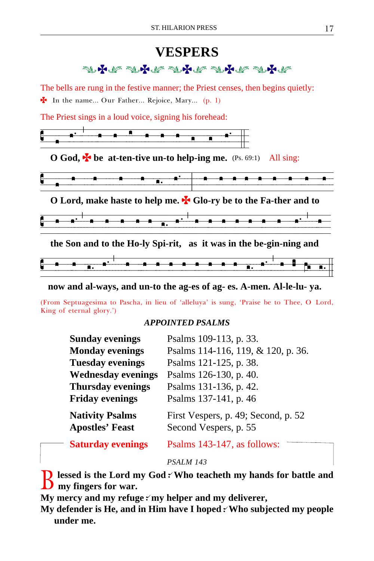## **VESPERS**

**2014 - 2014 - 2014 - 2014 - 2014 - 2014 - 2** 

The bells are rung in the festive manner; the Priest censes, then begins quietly: In the name... Our Father... Rejoice, Mary... (p. 1)





O Lord, make haste to help me. **A** Glo-ry be to the Fa-ther and to 0<br>-<br>ord, make haste to help me.  $\frac{1}{2}$  Glo-ry be to the Fa-<br> $\frac{1}{2}$ <br> $\frac{1}{2}$ <br> $\frac{1}{2}$ <br> $\frac{1}{2}$ <br> $\frac{1}{2}$ <br> $\frac{1}{2}$ <br> $\frac{1}{2}$ <br> $\frac{1}{2}$ <br> $\frac{1}{2}$ <br> $\frac{1}{2}$ <br> $\frac{1}{2}$ 

|  |  | the Son and to the Ho-ly Spi-rit, as it was in the be-gin-ning and |  |  |  |  |  |  |  |  |
|--|--|--------------------------------------------------------------------|--|--|--|--|--|--|--|--|
|  |  |                                                                    |  |  |  |  |  |  |  |  |
|  |  |                                                                    |  |  |  |  |  |  |  |  |

 **now and al-ways, and un-to the ag-es of ag- es. A-men. Al-le-lu- ya.**

(From Septuagesima to Pascha, in lieu of 'alleluya' is sung, 'Praise be to Thee, O Lord, King of eternal glory.')

#### *APPOINTED PSALMS*

| <b>Sunday evenings</b>                           | Psalms 109-113, p. 33.                                       |
|--------------------------------------------------|--------------------------------------------------------------|
| <b>Monday evenings</b>                           | Psalms 114-116, 119, & 120, p. 36.                           |
| <b>Tuesday evenings</b>                          | Psalms 121-125, p. 38.                                       |
| <b>Wednesday evenings</b>                        | Psalms 126-130, p. 40.                                       |
| <b>Thursday evenings</b>                         | Psalms 131-136, p. 42.                                       |
| <b>Friday evenings</b>                           | Psalms 137-141, p. 46                                        |
| <b>Nativity Psalms</b><br><b>Apostles' Feast</b> | First Vespers, p. 49; Second, p. 52<br>Second Vespers, p. 55 |
| <b>Saturday evenings</b>                         | Psalms 143-147, as follows:                                  |

*PSALM 143*

 $\sum$  lessed is the Lord n<br>
my fingers for war. **lessed is the Lord my God** - **Who teacheth my hands for battle and**

**My mercy and my refuge** - **my helper and my deliverer,**

**My defender is He, and in Him have I hoped** -**Who subjected my people under me.**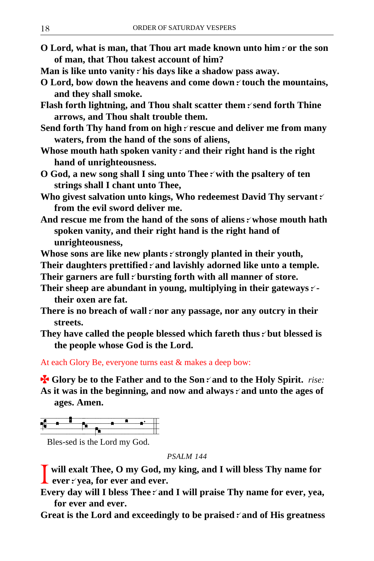- **O** Lord, what is man, that Thou art made known unto him  $\check{\cdot}$  or the son **of man, that Thou takest account of him?**
- **Man is like unto vanity his days like a shadow pass away.**
- **O Lord, bow down the heavens and come down** -**touch the mountains, and they shall smoke.**
- **Flash forth lightning, and Thou shalt scatter them send forth Thine arrows, and Thou shalt trouble them.**
- **Send forth Thy hand from on high rescue and deliver me from many waters, from the hand of the sons of aliens,**
- **Whose mouth hath spoken vanity and their right hand is the right hand of unrighteousness.**
- **O God, a new song shall I sing unto Thee with the psaltery of ten strings shall I chant unto Thee,**
- **Who givest salvation unto kings, Who redeemest David Thy servant from the evil sword deliver me.**
- **And rescue me from the hand of the sons of aliens whose mouth hath spoken vanity, and their right hand is the right hand of unrighteousness,**

**Whose sons are like new plants**-**strongly planted in their youth,**

**Their daughters prettified** - **and lavishly adorned like unto a temple.**

**Their garners are full**- **bursting forth with all manner of store.**

- **Their garners are functionally form with an manner or store.<br>Their sheep are abundant in young, multiplying in their gateways**  $\cdot$ **their oxen are fat.**
- **There is no breach of wall nor any passage, nor any outcry in their streets.**
- **They have called the people blessed which fareth thus but blessed is the people whose God is the Lord.**

At each Glory Be, everyone turns east & makes a deep bow:

*M* Glory be to the Father and to the Son : and to the Holy Spirit. *rise:* As it was in the beginning, and now and always  $\cdot$  and unto the ages of

**ages. Amen.** ------ -- 

Bles-sed is the Lord my God.

#### *PSALM 144*

**I** will exalt Thee, O my God, my king, and I will bless Thy name for ever: yea, for ever and ever. **ever** - **yea, for ever and ever.**

**E** Evert yea, for ever and ever.<br>Every day will I bless Thee *:* and I will praise Thy name for ever, yea, **for ever and ever.**

**Great is the Lord and exceedingly to be praised** - **and of His greatness**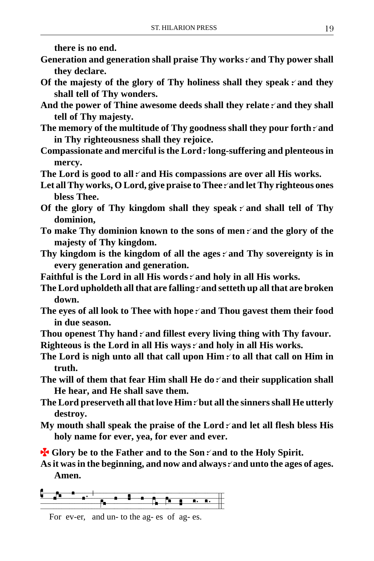**there is no end.**

- **Generation and generation shall praise Thy works and Thy power shall they declare.**
- **Of the majesty of the glory of Thy holiness shall they speak**  $\cdot$  **and they shall tell of Thy wonders.**
- And the power of Thine awesome deeds shall they relate  $\cdot$  and they shall **tell of Thy majesty.**
- **The memory of the multitude of Thy goodness shall they pour forth**-**and in Thy righteousness shall they rejoice.**
- **Compassionate and merciful is the Lord**-**long-suffering and plenteous in mercy.**
- **The Lord is good to all and His compassions are over all His works.**
- **Let all Thy works, O Lord, give praise to Thee**-**and let Thy righteous ones bless Thee.**
- **Of the glory of Thy kingdom shall they speak and shall tell of Thy dominion,**
- **To make Thy dominion known to the sons of men**  $\cdot$  and the glory of the **majesty of Thy kingdom.**
- **Thy kingdom is the kingdom of all the ages and Thy sovereignty is in every generation and generation.**
- **Faithful is the Lord in all His words and holy in all His works.**
- **The Lord upholdeth all that are falling**-**and setteth up all that are broken down.**
- **The eyes of all look to Thee with hope and Thou gavest them their food in due season.**
- **Thou openest Thy hand and fillest every living thing with Thy favour. Righteous is the Lord in all His ways**- **and holy in all His works.**
- **The Lord is nigh unto all that call upon Him** -**to all that call on Him in truth.**
- **The will of them that fear Him shall He do and their supplication shall He hear, and He shall save them.**
- **The Lord preserveth all that love Him**-**but all the sinners shall He utterly destroy.**
- **My mouth shall speak the praise of the Lord and let all flesh bless His holy name for ever, yea, for ever and ever.**

*M* Glory be to the Father and to the Son : and to the Holy Spirit.

**As it was in the beginning, and now and always**-**and unto the ages of ages. Amen.**



For ev-er, and un- to the ag- es of ag- es.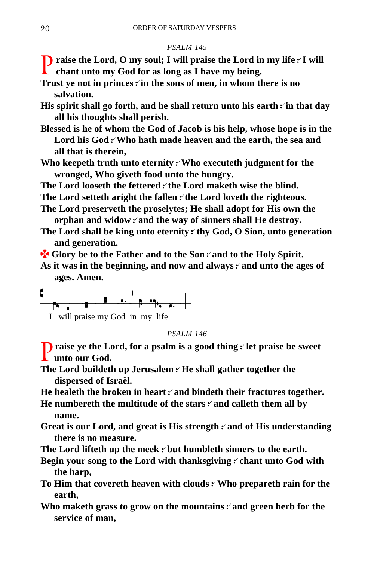#### *PSALM 145*

- **P** raise the Lord, O my soul; I will praise the Lord in my life : I will chant unto my God for as long as I have my being. **chant unto my God for as long as I have my being.**
- **Trust ye not in princes**-**in the sons of men, in whom there is no salvation.**
- **His spirit shall go forth, and he shall return unto his earth** -**in that day all his thoughts shall perish.**
- **Blessed is he of whom the God of Jacob is his help, whose hope is in the Lord his God** -**Who hath made heaven and the earth, the sea and all that is therein,**
- **Who keepeth truth unto eternity** -**Who executeth judgment for the wronged, Who giveth food unto the hungry.**

**The Lord looseth the fettered** -**the Lord maketh wise the blind.**

**The Lord setteth aright the fallen** -**the Lord loveth the righteous.**

**The Lord preserveth the proselytes; He shall adopt for His own the orphan and widow** - **and the way of sinners shall He destroy.**

- **The Lord shall be king unto eternity** -**thy God, O Sion, unto generation and generation.**
- **EX** Glory be to the Father and to the Son and to the Holy Spirit.
- **As it was in the beginning, and now and always and unto the ages of** -

ages. Amen. 
$$
\left\lceil \frac{1}{\sqrt{1-\frac{1}{\sqrt{1-\frac{1}{\sqrt{1-\frac{1}{\sqrt{1-\frac{1}{\sqrt{1-\frac{1}{\sqrt{1-\frac{1}{\sqrt{1-\frac{1}{\sqrt{1-\frac{1}{\sqrt{1-\frac{1}{\sqrt{1-\frac{1}{\sqrt{1-\frac{1}{\sqrt{1-\frac{1}{\sqrt{1-\frac{1}{\sqrt{1-\frac{1}{\sqrt{1-\frac{1}{\sqrt{1-\frac{1}{\sqrt{1-\frac{1}{\sqrt{1-\frac{1}{\sqrt{1-\frac{1}{\sqrt{1-\frac{1}{\sqrt{1-\frac{1}{\sqrt{1-\frac{1}{\sqrt{1-\frac{1}{\sqrt{1-\frac{1}{\sqrt{1-\frac{1}{\sqrt{1-\frac{1}{\sqrt{1-\frac{1}{\sqrt{1-\frac{1}{\sqrt{1-\frac{1}{\sqrt{1-\frac{1}{\sqrt{1-\frac{1}{\sqrt{1-\frac{1}{\sqrt{1-\frac{1}{\sqrt{1-\frac{1}{\sqrt{1-\frac{1}{\sqrt{1-\frac{1}{\sqrt{1-\frac{1}{\sqrt{1-\frac{1}{\sqrt{1-\frac{1}{\sqrt{1-\frac{1}{\sqrt{1-\frac{1}{\sqrt{1-\frac{1}{\sqrt{1-\frac{1}{\sqrt{1-\frac{1}{\sqrt{1-\frac{1}{\sqrt{1-\frac{1}{\sqrt{1-\frac{1}{\sqrt{1-\frac{1}{\sqrt{1-\frac{1}{\sqrt{1-\frac{1}{\sqrt{1-\frac{1}{\sqrt{1-\frac{1}{\sqrt{1-\frac{1}{\sqrt{1-\frac{1}{\sqrt{1-\frac{1}{\sqrt{1-\frac{1}{\sqrt{1-\frac{1}{\sqrt{1-\frac{1}{\sqrt{1-\frac{1}{\sqrt{1-\frac{1}{\sqrt{1-\frac{1}{\sqrt{1-\frac{1}{\sqrt{1-\frac{1}{\sqrt{1-\frac{1}{\sqrt{1-\frac{1}{\sqrt{1-\frac{1}{\sqrt{1-\frac{1}{\sqrt{1-\frac{1}{\sqrt{1-\frac{1}{\sqrt{1-\frac{1}{\sqrt{1-\frac{1}{\sqrt{1-\frac{1}{\sqrt{1-\frac{1}{\sqrt{1-\frac{1}{\sqrt{1 - \frac{1}{\sqrt{1-\frac{1}{\sqrt{1-\frac{1}{\sqrt{1 - \frac{1}{\sqrt{1 - \frac{1}{\sqrt{1 - \frac{1}{\sqrt{1 - \frac{1}{\sqrt{1 - \frac{1}{\sqrt
$$

I will praise my God in my life.

*PSALM 146*

**P** raise ye the Lord, for a psalm is a good thing  $\cdot$  let praise be sweet unto our God. **unto our God.**

**The Lord buildeth up Jerusalem**  $\cdot$  **He shall gather together the dispersed of Israël.**

**He healeth the broken in heart**- **and bindeth their fractures together.**

- **He numbereth the multitude of the stars and calleth them all by name.**
- **Great is our Lord, and great is His strength and of His understanding there is no measure.**

**The Lord lifteth up the meek** - **but humbleth sinners to the earth.**

Fire Eord inteth up the literal coat humbleth simichs to the earth.<br>Begin your song to the Lord with thanksgiving  $\epsilon$  chant unto God with **the harp,**

**To Him that covereth heaven with clouds**- **Who prepareth rain for the earth,**

**Who maketh grass to grow on the mountains**- **and green herb for the service of man,**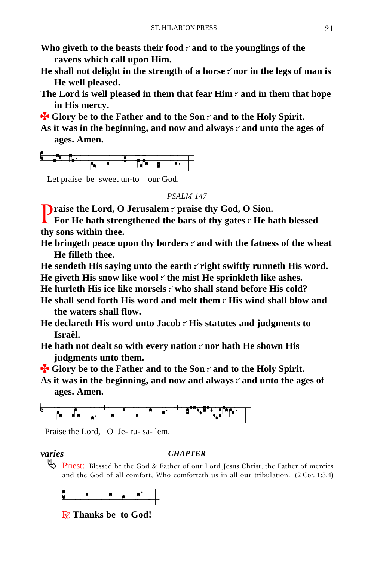- Who giveth to the beasts their food : and to the younglings of the ravens which call upon Him.
- He shall not delight in the strength of a horse  $\gamma$  nor in the legs of man is He well pleased.
- The Lord is well pleased in them that fear Him : and in them that hope in His mercy.
- Glory be to the Father and to the Son : and to the Holy Spirit.
- As it was in the beginning, and now and always : and unto the ages of ages. Amen.



Let praise be sweet un-to our God.

PSALM 147

Traise the Lord, O Jerusalem : praise thy God, O Sion.

 $\blacktriangle$  For He hath strengthened the bars of thy gates : He hath blessed thy sons within thee.

- He bringeth peace upon thy borders  $\cdot$  and with the fatness of the wheat He filleth thee.
- He sendeth His saying unto the earth  $\gamma$  right swiftly runneth His word. He giveth His snow like wool : the mist He sprinkleth like ashes.

He hurleth His ice like morsels : who shall stand before His cold?

- He shall send forth His word and melt them : His wind shall blow and the waters shall flow.
- He declareth His word unto Jacob : His statutes and judgments to Israël.
- He hath not dealt so with every nation : nor hath He shown His judgments unto them.
- Glory be to the Father and to the Son : and to the Holy Spirit.
- As it was in the beginning, and now and always : and unto the ages of ages. Amen.

Praise the Lord, O Je-ru-sa-lem.

### varies

#### **CHAPTER**

Priest: Blessed be the God & Father of our Lord Jesus Christ, the Father of mercies and the God of all comfort, Who comforteth us in all our tribulation. (2 Cor. 1:3.4)



 $\mathbb R$ . Thanks be to God!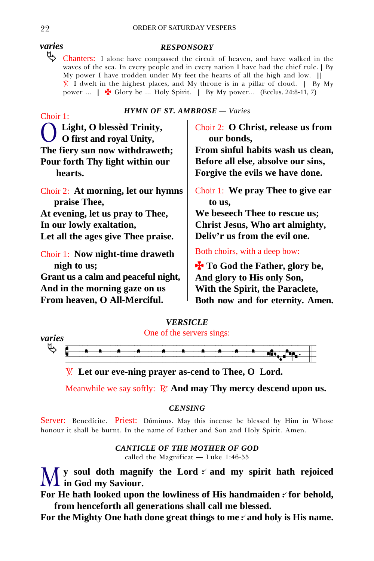#### varies

#### **RESPONSORY**

Chanters: I alone have compassed the circuit of heaven, and have walked in the waves of the sea. In every people and in every nation I have had the chief rule. | By My power I have trodden under My feet the hearts of all the high and low. ||  $\overline{V}$ . I dwelt in the highest places, and My throne is in a pillar of cloud. | By My power  $\ldots$  |  $\blacktriangleright$  Glory be  $\ldots$  Holy Spirit. | By My power  $\ldots$  (Ecclus. 24:8-11, 7)

#### **HYMN OF ST. AMBROSE** - Varies  $Choir 1<sup>1</sup>$ Light, O blessèd Trinity, Choir 2: O Christ, release us from O first and royal Unity, our bonds. The fiery sun now withdraweth; From sinful habits wash us clean, Pour forth Thy light within our Before all else, absolve our sins, Forgive the evils we have done. hearts. Choir 2: At morning, let our hymns Choir 1: We pray Thee to give ear praise Thee, to us. At evening, let us pray to Thee, We beseech Thee to rescue us: In our lowly exaltation, Christ Jesus, Who art almighty, Deliv'r us from the evil one. Let all the ages give Thee praise. Both choirs, with a deep bow: Choir 1: Now night-time draweth nigh to us; Y To God the Father, glory be, Grant us a calm and peaceful night, And glory to His only Son, And in the morning gaze on us With the Spirit, the Paraclete, Both now and for eternity. Amen. From heaven, O All-Merciful.



 $\overline{V}$ . Let our eve-ning prayer as-cend to Thee, O Lord.

Meanwhile we say softly:  $\mathbb{R}$ . And may Thy mercy descend upon us.

#### **CENSING**

Server: Benedícite. Priest: Dóminus. May this incense be blessed by Him in Whose honour it shall be burnt. In the name of Father and Son and Holy Spirit. Amen.

> **CANTICLE OF THE MOTHER OF GOD** called the Magnificat  $-$  Luke 1:46-55

y soul doth magnify the Lord : and my spirit hath rejoiced in God my Saviour.

For He hath looked upon the lowliness of His handmaiden : for behold, from henceforth all generations shall call me blessed.

For the Mighty One hath done great things to me - and holy is His name.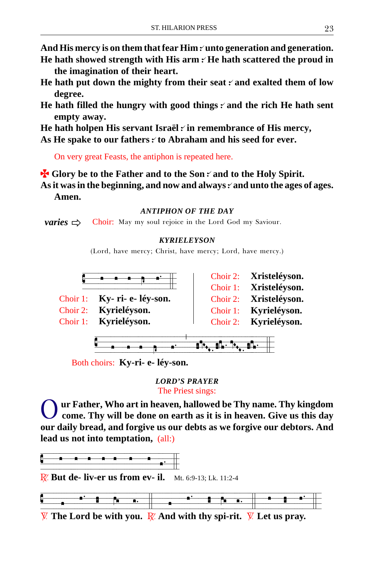**And His mercy is on them that fear Him**- **unto generation and generation.**

- **He hath showed strength with His arm He hath scattered the proud in the imagination of their heart.**
- **He hath put down the mighty from their seat and exalted them of low degree.**
- **He hath filled the hungry with good things and the rich He hath sent empty away.**

**He hath holpen His servant Israël**-**in remembrance of His mercy,**

**As He spake to our fathers**-**to Abraham and his seed for ever.**

On very great Feasts, the antiphon is repeated here.

**Glory be to the Father and to the Son** : and to the Holy Spirit.

**As it was in the beginning, and now and always**- **and unto the ages of ages. Amen.**

## *ANTIPHON OF THE DAY*

Choir: May my soul rejoice in the Lord God my Saviour. *varies*  $\Rightarrow$ 

## *KYRIELEYSON*

(Lord, have mercy; Christ, have mercy; Lord, have mercy.)



Choir 2: **Kyrieléyson.**

| Choir $2$ : | Xristeléyson. |
|-------------|---------------|
| Choir 1:    | Xristeléyson. |
| Choir 2:    | Xristeléyson. |
| Choir $1$ : | Kyrieléyson.  |

Kyrieléyson.



Both choirs: **Ky-ri- e- léy-son.**

## *LORD'S PRAYER* The Priest sings:

**ur Father, Who art in heaven, hallowed be Thy name. Thy kingdom come. Thy will be done on earth as it is in heaven. Give us this day our daily bread, and forgive us our debts as we forgive our debtors. And**



 $\overline{\mathbf{V}}$ . The Lord be with you.  $\overline{\mathbf{V}}$ . And with thy spi-rit.  $\overline{\mathbf{V}}$ . Let us pray.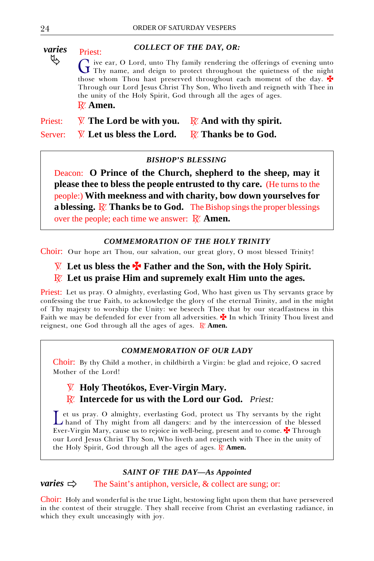**COLLECT OF THE DAY, OR:** 

vive ear, O Lord, unto Thy family rendering the offerings of evening unto Thy name, and deign to protect throughout the quietness of the night those whom Thou hast preserved throughout each moment of the day. Through our Lord Jesus Christ Thy Son, Who liveth and reigneth with Thee in the unity of the Holy Spirit, God through all the ages of ages.  $R<sub>z</sub>$  Amen.

| Priest: | $\overline{\mathbf{V}}$ . The Lord be with you. | $\mathbb{R}$ . And with thy spirit. |
|---------|-------------------------------------------------|-------------------------------------|
| Server: | $\hat{V}$ . Let us bless the Lord.              | $\mathbb R$ . Thanks be to God.     |

## **BISHOP'S BLESSING**

Deacon: O Prince of the Church, shepherd to the sheep, may it please thee to bless the people entrusted to thy care. (He turns to the people:) With meekness and with charity, bow down yourselves for a blessing.  $\mathbb{R}^{\prime}$ . Thanks be to God. The Bishop sings the proper blessings over the people; each time we answer:  $\mathbb{R}^{\prime}$ . **Amen.** 

### **COMMEMORATION OF THE HOLY TRINITY**

Choir: Our hope art Thou, our salvation, our great glory, O most blessed Trinity!

 $\overline{\mathbb{V}}$ . Let us bless the  $\blacktriangleright$  Father and the Son, with the Holy Spirit.

## $\overline{\mathbb{R}}$ . Let us praise Him and supremely exalt Him unto the ages.

Priest: Let us pray. O almighty, everlasting God, Who hast given us Thy servants grace by confessing the true Faith, to acknowledge the glory of the eternal Trinity, and in the might of Thy majesty to worship the Unity: we beseech Thee that by our steadfastness in this Faith we may be defended for ever from all adversities.  $\blacktriangleright$  In which Trinity Thou livest and reignest, one God through all the ages of ages. R. Amen.

### **COMMEMORATION OF OUR LADY**

**Choir:** By thy Child a mother, in childbirth a Virgin: be glad and rejoice, O sacred Mother of the Lord!

## V. Holy Theotókos, Ever-Virgin Mary.  $\overline{\mathbb{R}}$ . Intercede for us with the Lord our God. *Priest*:

Let us pray. O almighty, everlasting God, protect us Thy servants by the right hand of Thy might from all dangers: and by the intercession of the blessed Ever-Virgin Mary, cause us to rejoice in well-being, present and to come. ★ Through our Lord Jesus Christ Thy Son, Who liveth and reigneth with Thee in the unity of the Holy Spirit, God through all the ages of ages. R. Amen.

### **SAINT OF THE DAY-As Appointed**

*varies*  $\Rightarrow$ The Saint's antiphon, versicle, & collect are sung; or:

Choir: Holy and wonderful is the true Light, bestowing light upon them that have persevered in the contest of their struggle. They shall receive from Christ an everlasting radiance, in which they exult unceasingly with joy.

varies

 $\mathfrak{B}$ 

Priest<sup>.</sup>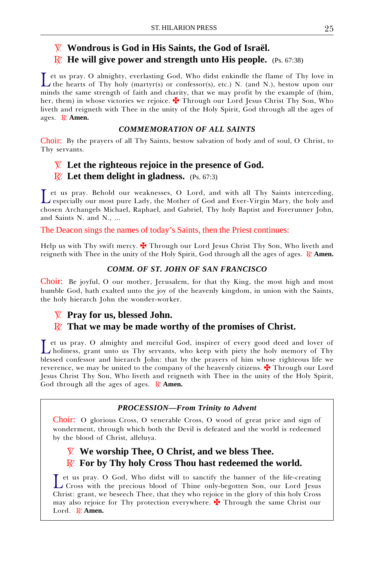## $\overline{\mathcal{X}}$  Wondrous is God in His Saints, the God of Israël.  $\mathbb{R}^{\prime}$ . He will give power and strength unto His people. (Ps. 67:38)

et us pray. O almighty, everlasting God, Who didst enkindle the flame of Thy love in The hearts of Thy holy (martyr(s) or confessor(s), etc.) N. (and N.), bestow upon our minds the same strength of faith and charity, that we may profit by the example of (him, her, them) in whose victories we rejoice. Y Through our Lord Jesus Christ Thy Son, Who liveth and reigneth with Thee in the unity of the Holy Spirit, God through all the ages of ages.  $\mathbb{R}$  Amen.

#### **COMMEMORATION OF ALL SAINTS**

Choir: By the prayers of all Thy Saints, bestow salvation of body and of soul, O Christ, to Thy servants.

## $\overline{\mathcal{V}}$ . Let the righteous rejoice in the presence of God.

#### $\overline{\mathbb{R}}$ . Let them delight in gladness. (Ps. 67:3)

et us pray. Behold our weaknesses, O Lord, and with all Thy Saints interceding, s especially our most pure Lady, the Mother of God and Ever-Virgin Mary, the holy and chosen Archangels Michael, Raphael, and Gabriel, Thy holy Baptist and Forerunner John, and Saints N. and N., ...

The Deacon sings the names of today's Saints, then the Priest continues:

Help us with Thy swift mercy. Y Through our Lord Jesus Christ Thy Son, Who liveth and reigneth with Thee in the unity of the Holy Spirit, God through all the ages of ages.  $\mathbb{R}^r$  **Amen.** 

#### COMM. OF ST. JOHN OF SAN FRANCISCO

Choir: Be joyful, O our mother, Jerusalem, for that thy King, the most high and most humble God, hath exalted unto the joy of the heavenly kingdom, in union with the Saints, the holy hierarch John the wonder-worker.

## $\hat{V}$ . Pray for us, blessed John.

## $\mathbb{R}$ . That we may be made worthy of the promises of Christ.

et us pray. O almighty and merciful God, inspirer of every good deed and lover of I holiness, grant unto us Thy servants, who keep with piety the holy memory of Thy blessed confessor and hierarch John: that by the prayers of him whose righteous life we reverence, we may be united to the company of the heavenly citizens.  $\blacktriangleright$  Through our Lord Jesus Christ Thy Son, Who liveth and reigneth with Thee in the unity of the Holy Spirit, God through all the ages of ages.  $\mathbb{R}^r$  **Amen.** 

#### **PROCESSION-From Trinity to Advent**

**Choir:** O glorious Cross, O venerable Cross, O wood of great price and sign of wonderment, through which both the Devil is defeated and the world is redeemed by the blood of Christ, alleluva.

## $\overline{\mathcal{V}}$ . We worship Thee, O Christ, and we bless Thee.  $\mathbb{R}$ . For by Thy holy Cross Thou hast redeemed the world.

et us pray. O God, Who didst will to sanctify the banner of the life-creating J Cross with the precious blood of Thine only-begotten Son, our Lord Jesus Christ: grant, we beseech Thee, that they who rejoice in the glory of this holy Cross may also rejoice for Thy protection everywhere.  $\blacktriangleright$  Through the same Christ our Lord. R. Amen.